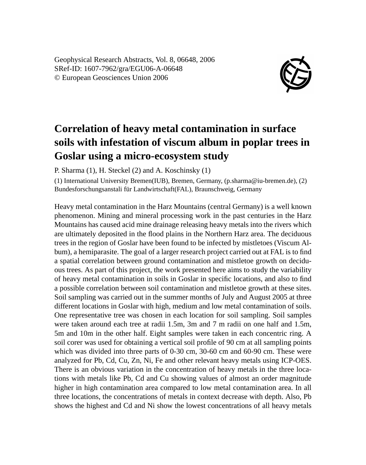Geophysical Research Abstracts, Vol. 8, 06648, 2006 SRef-ID: 1607-7962/gra/EGU06-A-06648 © European Geosciences Union 2006



## **Correlation of heavy metal contamination in surface soils with infestation of viscum album in poplar trees in Goslar using a micro-ecosystem study**

P. Sharma (1), H. Steckel (2) and A. Koschinsky (1)

(1) International University Bremen(IUB), Bremen, Germany, (p.sharma@iu-bremen.de), (2) Bundesforschungsanstali für Landwirtschaft(FAL), Braunschweig, Germany

Heavy metal contamination in the Harz Mountains (central Germany) is a well known phenomenon. Mining and mineral processing work in the past centuries in the Harz Mountains has caused acid mine drainage releasing heavy metals into the rivers which are ultimately deposited in the flood plains in the Northern Harz area. The deciduous trees in the region of Goslar have been found to be infected by mistletoes (Viscum Album), a hemiparasite. The goal of a larger research project carried out at FAL is to find a spatial correlation between ground contamination and mistletoe growth on deciduous trees. As part of this project, the work presented here aims to study the variability of heavy metal contamination in soils in Goslar in specific locations, and also to find a possible correlation between soil contamination and mistletoe growth at these sites. Soil sampling was carried out in the summer months of July and August 2005 at three different locations in Goslar with high, medium and low metal contamination of soils. One representative tree was chosen in each location for soil sampling. Soil samples were taken around each tree at radii 1.5m, 3m and 7 m radii on one half and 1.5m, 5m and 10m in the other half. Eight samples were taken in each concentric ring. A soil corer was used for obtaining a vertical soil profile of 90 cm at all sampling points which was divided into three parts of 0-30 cm, 30-60 cm and 60-90 cm. These were analyzed for Pb, Cd, Cu, Zn, Ni, Fe and other relevant heavy metals using ICP-OES. There is an obvious variation in the concentration of heavy metals in the three locations with metals like Pb, Cd and Cu showing values of almost an order magnitude higher in high contamination area compared to low metal contamination area. In all three locations, the concentrations of metals in context decrease with depth. Also, Pb shows the highest and Cd and Ni show the lowest concentrations of all heavy metals